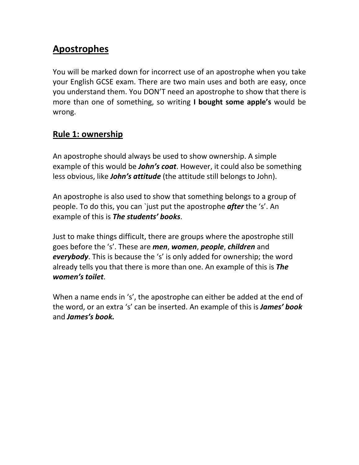## **Apostrophes**

You will be marked down for incorrect use of an apostrophe when you take your English GCSE exam. There are two main uses and both are easy, once you understand them. You DON'T need an apostrophe to show that there is more than one of something, so writing **I bought some apple's** would be wrong.

## **Rule 1: ownership**

An apostrophe should always be used to show ownership. A simple example of this would be *John's coat*. However, it could also be something less obvious, like *John's attitude* (the attitude still belongs to John).

An apostrophe is also used to show that something belongs to a group of people. To do this, you can `just put the apostrophe *after* the 's'. An example of this is *The students' books*.

Just to make things difficult, there are groups where the apostrophe still goes before the 's'. These are *men*, *women*, *people*, *children* and *everybody*. This is because the 's' is only added for ownership; the word already tells you that there is more than one. An example of this is *The women's toilet*.

When a name ends in 's', the apostrophe can either be added at the end of the word, or an extra 's' can be inserted. An example of this is *James' book*  and *James's book.*